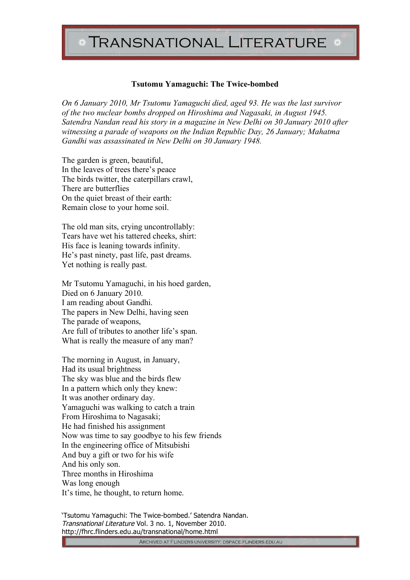## **TRANSNATIONAL LITERATURE**

## **Tsutomu Yamaguchi: The Twice-bombed**

*On 6 January 2010, Mr Tsutomu Yamaguchi died, aged 93. He was the last survivor of the two nuclear bombs dropped on Hiroshima and Nagasaki, in August 1945. Satendra Nandan read his story in a magazine in New Delhi on 30 January 2010 after witnessing a parade of weapons on the Indian Republic Day, 26 January; Mahatma Gandhi was assassinated in New Delhi on 30 January 1948.* 

The garden is green, beautiful, In the leaves of trees there's peace The birds twitter, the caterpillars crawl, There are butterflies On the quiet breast of their earth: Remain close to your home soil.

The old man sits, crying uncontrollably: Tears have wet his tattered cheeks, shirt: His face is leaning towards infinity. He's past ninety, past life, past dreams. Yet nothing is really past.

Mr Tsutomu Yamaguchi, in his hoed garden, Died on 6 January 2010. I am reading about Gandhi. The papers in New Delhi, having seen The parade of weapons, Are full of tributes to another life's span. What is really the measure of any man?

The morning in August, in January, Had its usual brightness The sky was blue and the birds flew In a pattern which only they knew: It was another ordinary day. Yamaguchi was walking to catch a train From Hiroshima to Nagasaki; He had finished his assignment Now was time to say goodbye to his few friends In the engineering office of Mitsubishi And buy a gift or two for his wife And his only son. Three months in Hiroshima Was long enough It's time, he thought, to return home.

'Tsutomu Yamaguchi: The Twice-bombed.' Satendra Nandan. Transnational Literature Vol. 3 no. 1, November 2010. http://fhrc.flinders.edu.au/transnational/home.html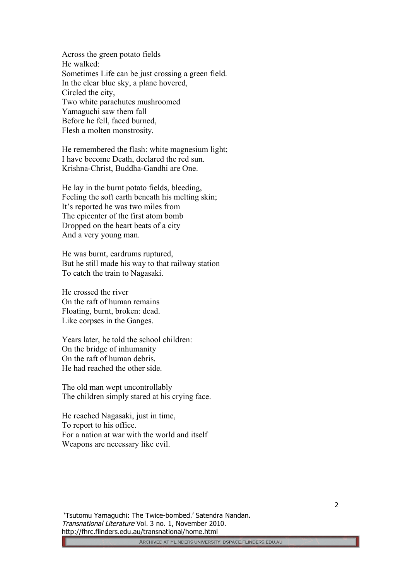Across the green potato fields He walked: Sometimes Life can be just crossing a green field. In the clear blue sky, a plane hovered, Circled the city, Two white parachutes mushroomed Yamaguchi saw them fall Before he fell, faced burned, Flesh a molten monstrosity.

He remembered the flash: white magnesium light; I have become Death, declared the red sun. Krishna-Christ, Buddha-Gandhi are One.

He lay in the burnt potato fields, bleeding, Feeling the soft earth beneath his melting skin; It's reported he was two miles from The epicenter of the first atom bomb Dropped on the heart beats of a city And a very young man.

He was burnt, eardrums ruptured, But he still made his way to that railway station To catch the train to Nagasaki.

He crossed the river On the raft of human remains Floating, burnt, broken: dead. Like corpses in the Ganges.

Years later, he told the school children: On the bridge of inhumanity On the raft of human debris, He had reached the other side.

The old man wept uncontrollably The children simply stared at his crying face.

He reached Nagasaki, just in time, To report to his office. For a nation at war with the world and itself Weapons are necessary like evil.

 'Tsutomu Yamaguchi: The Twice-bombed.' Satendra Nandan. Transnational Literature Vol. 3 no. 1, November 2010. http://fhrc.flinders.edu.au/transnational/home.html